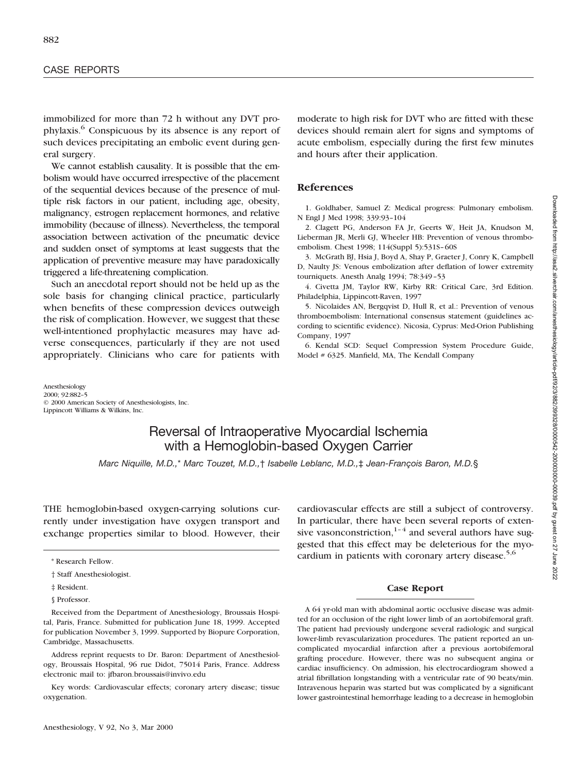immobilized for more than 72 h without any DVT prophylaxis.6 Conspicuous by its absence is any report of such devices precipitating an embolic event during general surgery.

We cannot establish causality. It is possible that the embolism would have occurred irrespective of the placement of the sequential devices because of the presence of multiple risk factors in our patient, including age, obesity, malignancy, estrogen replacement hormones, and relative immobility (because of illness). Nevertheless, the temporal association between activation of the pneumatic device and sudden onset of symptoms at least suggests that the application of preventive measure may have paradoxically triggered a life-threatening complication.

Such an anecdotal report should not be held up as the sole basis for changing clinical practice, particularly when benefits of these compression devices outweigh the risk of complication. However, we suggest that these well-intentioned prophylactic measures may have adverse consequences, particularly if they are not used appropriately. Clinicians who care for patients with

moderate to high risk for DVT who are fitted with these devices should remain alert for signs and symptoms of acute embolism, especially during the first few minutes and hours after their application.

## **References**

1. Goldhaber, Samuel Z: Medical progress: Pulmonary embolism. N Engl J Med 1998; 339:93–104

2. Clagett PG, Anderson FA Jr, Geerts W, Heit JA, Knudson M, Lieberman JR, Merli GJ, Wheeler HB: Prevention of venous thromboembolism. Chest 1998; 114(Suppl 5):531S–60S

3. McGrath BJ, Hsia J, Boyd A, Shay P, Graeter J, Conry K, Campbell D, Naulty JS: Venous embolization after deflation of lower extremity tourniquets. Anesth Analg 1994; 78:349–53

4. Civetta JM, Taylor RW, Kirby RR: Critical Care, 3rd Edition. Philadelphia, Lippincott-Raven, 1997

5. Nicolaides AN, Bergqvist D, Hull R, et al.: Prevention of venous thromboembolism: International consensus statement (guidelines according to scientific evidence). Nicosia, Cyprus: Med-Orion Publishing Company, 1997

6. Kendal SCD: Sequel Compression System Procedure Guide, Model # 6325. Manfield, MA, The Kendall Company

Anesthesiology 2000; 92:882–5 © 2000 American Society of Anesthesiologists, Inc. Lippincott Williams & Wilkins, Inc.

# Reversal of Intraoperative Myocardial Ischemia with a Hemoglobin-based Oxygen Carrier

*Marc Niquille, M.D.,\* Marc Touzet, M.D.,† Isabelle Leblanc, M.D.,‡ Jean-François Baron, M.D.§* 

THE hemoglobin-based oxygen-carrying solutions currently under investigation have oxygen transport and exchange properties similar to blood. However, their

\* Research Fellow.

§ Professor.

Received from the Department of Anesthesiology, Broussais Hospital, Paris, France. Submitted for publication June 18, 1999. Accepted for publication November 3, 1999. Supported by Biopure Corporation, Cambridge, Massachusetts.

Address reprint requests to Dr. Baron: Department of Anesthesiology, Broussais Hospital, 96 rue Didot, 75014 Paris, France. Address electronic mail to: jfbaron.broussais@invivo.edu

Key words: Cardiovascular effects; coronary artery disease; tissue oxygenation.

Anesthesiology, V 92, No 3, Mar 2000

Downloaded from http://asa2.silverchair.com/anesthesiology/article-pdf/92/3/882/399328/0003042-200003000-00039.pdf by guest on 27 June 2022 Downloaded from http://asa2.silverchair.com/anesthesiology/article-pdf/92/3/882/399328/0000542-200003000-00039.pdf by guest on 27 June 2022

cardiovascular effects are still a subject of controversy. In particular, there have been several reports of extensive vasonconstriction, $1-4$  and several authors have suggested that this effect may be deleterious for the myocardium in patients with coronary artery disease.<sup>5,6</sup>

#### **Case Report**

A 64 yr-old man with abdominal aortic occlusive disease was admitted for an occlusion of the right lower limb of an aortobifemoral graft. The patient had previously undergone several radiologic and surgical lower-limb revascularization procedures. The patient reported an uncomplicated myocardial infarction after a previous aortobifemoral grafting procedure. However, there was no subsequent angina or cardiac insufficiency. On admission, his electrocardiogram showed a atrial fibrillation longstanding with a ventricular rate of 90 beats/min. Intravenous heparin was started but was complicated by a significant lower gastrointestinal hemorrhage leading to a decrease in hemoglobin

<sup>†</sup> Staff Anesthesiologist.

<sup>‡</sup> Resident.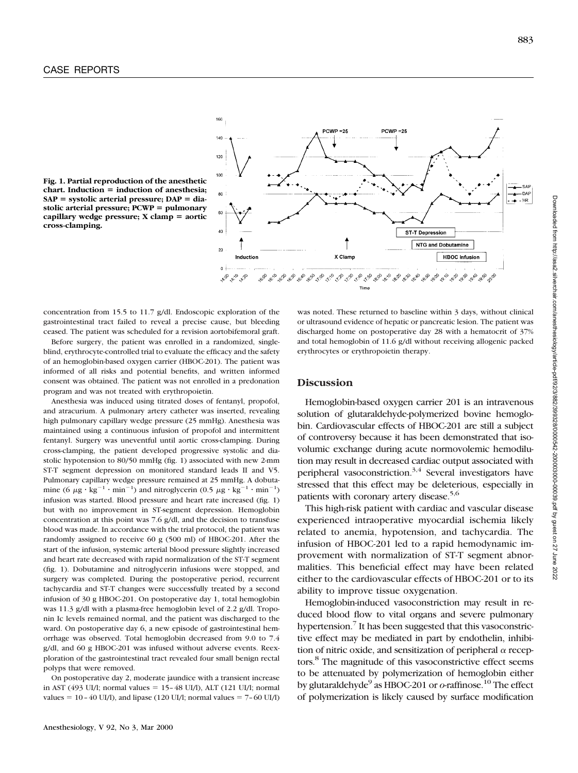

**Fig. 1. Partial reproduction of the anesthetic**  $chart$ . Induction = induction of anesthesia;  $SAP = systolic \,arterial \, pressure; \,DAP = dia$ stolic arterial pressure; PCWP = pulmonary **capillary wedge pressure; X clamp = aortic cross-clamping.**

concentration from 15.5 to 11.7 g/dl. Endoscopic exploration of the gastrointestinal tract failed to reveal a precise cause, but bleeding ceased. The patient was scheduled for a revision aortobifemoral graft.

Before surgery, the patient was enrolled in a randomized, singleblind, erythrocyte-controlled trial to evaluate the efficacy and the safety of an hemoglobin-based oxygen carrier (HBOC-201). The patient was informed of all risks and potential benefits, and written informed consent was obtained. The patient was not enrolled in a predonation program and was not treated with erythropoietin.

Anesthesia was induced using titrated doses of fentanyl, propofol, and atracurium. A pulmonary artery catheter was inserted, revealing high pulmonary capillary wedge pressure (25 mmHg). Anesthesia was maintained using a continuous infusion of propofol and intermittent fentanyl. Surgery was uneventful until aortic cross-clamping. During cross-clamping, the patient developed progressive systolic and diastolic hypotension to 80/50 mmHg (fig. 1) associated with new 2-mm ST-T segment depression on monitored standard leads II and V5. Pulmonary capillary wedge pressure remained at 25 mmHg. A dobutamine (6  $\mu$ g·kg<sup>-1</sup>·min<sup>-1</sup>) and nitroglycerin (0.5  $\mu$ g·kg<sup>-1</sup>·min<sup>-1</sup>) infusion was started. Blood pressure and heart rate increased (fig. 1) but with no improvement in ST-segment depression. Hemoglobin concentration at this point was 7.6 g/dl, and the decision to transfuse blood was made. In accordance with the trial protocol, the patient was randomly assigned to receive 60 g (500 ml) of HBOC-201. After the start of the infusion, systemic arterial blood pressure slightly increased and heart rate decreased with rapid normalization of the ST-T segment (fig. 1). Dobutamine and nitroglycerin infusions were stopped, and surgery was completed. During the postoperative period, recurrent tachycardia and ST-T changes were successfully treated by a second infusion of 30 g HBOC-201. On postoperative day 1, total hemoglobin was 11.3 g/dl with a plasma-free hemoglobin level of 2.2 g/dl. Troponin Ic levels remained normal, and the patient was discharged to the ward. On postoperative day 6, a new episode of gastrointestinal hemorrhage was observed. Total hemoglobin decreased from 9.0 to 7.4 g/dl, and 60 g HBOC-201 was infused without adverse events. Reexploration of the gastrointestinal tract revealed four small benign rectal polyps that were removed.

On postoperative day 2, moderate jaundice with a transient increase in AST (493 UI/l; normal values =  $15-48$  UI/l), ALT (121 UI/l; normal values =  $10-40$  UI/l), and lipase (120 UI/l; normal values =  $7-60$  UI/l)

was noted. These returned to baseline within 3 days, without clinical or ultrasound evidence of hepatic or pancreatic lesion. The patient was discharged home on postoperative day 28 with a hematocrit of 37% and total hemoglobin of 11.6 g/dl without receiving allogenic packed erythrocytes or erythropoietin therapy.

#### **Discussion**

Hemoglobin-based oxygen carrier 201 is an intravenous solution of glutaraldehyde-polymerized bovine hemoglobin. Cardiovascular effects of HBOC-201 are still a subject of controversy because it has been demonstrated that isovolumic exchange during acute normovolemic hemodilution may result in decreased cardiac output associated with peripheral vasoconstriction.<sup>3,4</sup> Several investigators have stressed that this effect may be deleterious, especially in patients with coronary artery disease.<sup>5,6</sup>

This high-risk patient with cardiac and vascular disease experienced intraoperative myocardial ischemia likely related to anemia, hypotension, and tachycardia. The infusion of HBOC-201 led to a rapid hemodynamic improvement with normalization of ST-T segment abnormalities. This beneficial effect may have been related either to the cardiovascular effects of HBOC-201 or to its ability to improve tissue oxygenation.

Hemoglobin-induced vasoconstriction may result in reduced blood flow to vital organs and severe pulmonary hypertension.<sup>7</sup> It has been suggested that this vasoconstrictive effect may be mediated in part by endothelin, inhibition of nitric oxide, and sensitization of peripheral  $\alpha$  receptors.<sup>8</sup> The magnitude of this vasoconstrictive effect seems to be attenuated by polymerization of hemoglobin either by glutaraldehyde<sup>9</sup> as HBOC-201 or *o*-raffinose.<sup>10</sup> The effect of polymerization is likely caused by surface modification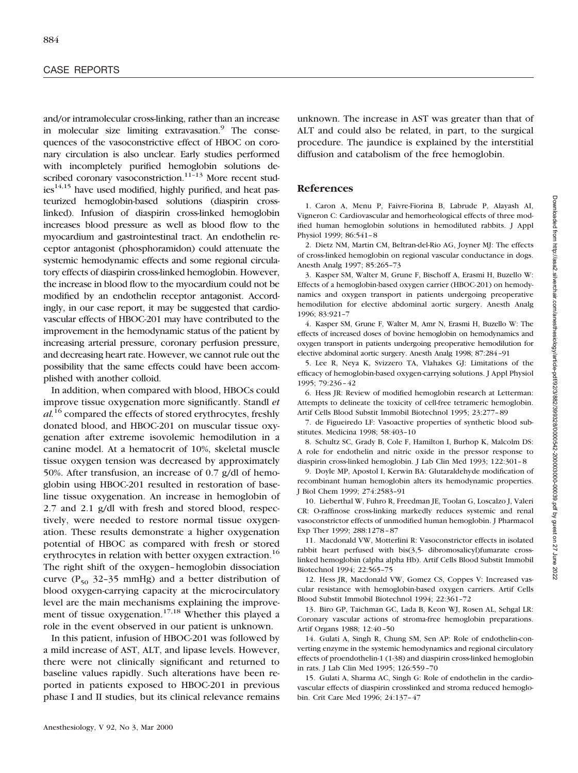and/or intramolecular cross-linking, rather than an increase in molecular size limiting extravasation.<sup>9</sup> The consequences of the vasoconstrictive effect of HBOC on coronary circulation is also unclear. Early studies performed with incompletely purified hemoglobin solutions described coronary vasoconstriction. $11-13$  More recent stud $ies<sup>14,15</sup>$  have used modified, highly purified, and heat pasteurized hemoglobin-based solutions (diaspirin crosslinked). Infusion of diaspirin cross-linked hemoglobin increases blood pressure as well as blood flow to the myocardium and gastrointestinal tract. An endothelin receptor antagonist (phosphoramidon) could attenuate the systemic hemodynamic effects and some regional circulatory effects of diaspirin cross-linked hemoglobin. However, the increase in blood flow to the myocardium could not be modified by an endothelin receptor antagonist. Accordingly, in our case report, it may be suggested that cardiovascular effects of HBOC-201 may have contributed to the improvement in the hemodynamic status of the patient by increasing arterial pressure, coronary perfusion pressure, and decreasing heart rate. However, we cannot rule out the possibility that the same effects could have been accomplished with another colloid.

In addition, when compared with blood, HBOCs could improve tissue oxygenation more significantly. Standl *et al.*<sup>16</sup> compared the effects of stored erythrocytes, freshly donated blood, and HBOC-201 on muscular tissue oxygenation after extreme isovolemic hemodilution in a canine model. At a hematocrit of 10%, skeletal muscle tissue oxygen tension was decreased by approximately 50%. After transfusion, an increase of 0.7 g/dl of hemoglobin using HBOC-201 resulted in restoration of baseline tissue oxygenation. An increase in hemoglobin of 2.7 and 2.1 g/dl with fresh and stored blood, respectively, were needed to restore normal tissue oxygenation. These results demonstrate a higher oxygenation potential of HBOC as compared with fresh or stored erythrocytes in relation with better oxygen extraction.<sup>16</sup> The right shift of the oxygen–hemoglobin dissociation curve ( $P_{50}$  32–35 mmHg) and a better distribution of blood oxygen-carrying capacity at the microcirculatory level are the main mechanisms explaining the improvement of tissue oxygenation.<sup>17,18</sup> Whether this played a role in the event observed in our patient is unknown.

In this patient, infusion of HBOC-201 was followed by a mild increase of AST, ALT, and lipase levels. However, there were not clinically significant and returned to baseline values rapidly. Such alterations have been reported in patients exposed to HBOC-201 in previous phase I and II studies, but its clinical relevance remains

unknown. The increase in AST was greater than that of ALT and could also be related, in part, to the surgical procedure. The jaundice is explained by the interstitial diffusion and catabolism of the free hemoglobin.

## **References**

1. Caron A, Menu P, Faivre-Fiorina B, Labrude P, Alayash AI, Vigneron C: Cardiovascular and hemorheological effects of three modified human hemoglobin solutions in hemodiluted rabbits. J Appl Physiol 1999; 86:541–8

2. Dietz NM, Martin CM, Beltran-del-Rio AG, Joyner MJ: The effects of cross-linked hemoglobin on regional vascular conductance in dogs. Anesth Analg 1997; 85:265–73

3. Kasper SM, Walter M, Grune F, Bischoff A, Erasmi H, Buzello W: Effects of a hemoglobin-based oxygen carrier (HBOC-201) on hemodynamics and oxygen transport in patients undergoing preoperative hemodilution for elective abdominal aortic surgery. Anesth Analg 1996; 83:921–7

4. Kasper SM, Grune F, Walter M, Amr N, Erasmi H, Buzello W: The effects of increased doses of bovine hemoglobin on hemodynamics and oxygen transport in patients undergoing preoperative hemodilution for elective abdominal aortic surgery. Anesth Analg 1998; 87:284–91

5. Lee R, Neya K, Svizzero TA, Vlahakes GJ: Limitations of the efficacy of hemoglobin-based oxygen-carrying solutions. J Appl Physiol 1995; 79:236–42

6. Hess JR: Review of modified hemoglobin research at Letterman: Attempts to delineate the toxicity of cell-free tetrameric hemoglobin. Artif Cells Blood Substit Immobil Biotechnol 1995; 23:277–89

7. de Figueiredo LF: Vasoactive properties of synthetic blood substitutes. Medicina 1998; 58:403–10

8. Schultz SC, Grady B, Cole F, Hamilton I, Burhop K, Malcolm DS: A role for endothelin and nitric oxide in the pressor response to diaspirin cross-linked hemoglobin. J Lab Clin Med 1993; 122:301–8

9. Doyle MP, Apostol I, Kerwin BA: Glutaraldehyde modification of recombinant human hemoglobin alters its hemodynamic properties. J Biol Chem 1999; 274:2583–91

10. Lieberthal W, Fuhro R, Freedman JE, Toolan G, Loscalzo J, Valeri CR: O-raffinose cross-linking markedly reduces systemic and renal vasoconstrictor effects of unmodified human hemoglobin. J Pharmacol Exp Ther 1999; 288:1278–87

11. Macdonald VW, Motterlini R: Vasoconstrictor effects in isolated rabbit heart perfused with bis(3,5- dibromosalicyl)fumarate crosslinked hemoglobin (alpha alpha Hb). Artif Cells Blood Substit Immobil Biotechnol 1994; 22:565–75

12. Hess JR, Macdonald VW, Gomez CS, Coppes V: Increased vascular resistance with hemoglobin-based oxygen carriers. Artif Cells Blood Substit Immobil Biotechnol 1994; 22:361–72

13. Biro GP, Taichman GC, Lada B, Keon WJ, Rosen AL, Sehgal LR: Coronary vascular actions of stroma-free hemoglobin preparations. Artif Organs 1988; 12:40–50

14. Gulati A, Singh R, Chung SM, Sen AP: Role of endothelin-converting enzyme in the systemic hemodynamics and regional circulatory effects of proendothelin-1 (1-38) and diaspirin cross-linked hemoglobin in rats. J Lab Clin Med 1995; 126:559–70

15. Gulati A, Sharma AC, Singh G: Role of endothelin in the cardiovascular effects of diaspirin crosslinked and stroma reduced hemoglobin. Crit Care Med 1996; 24:137–47